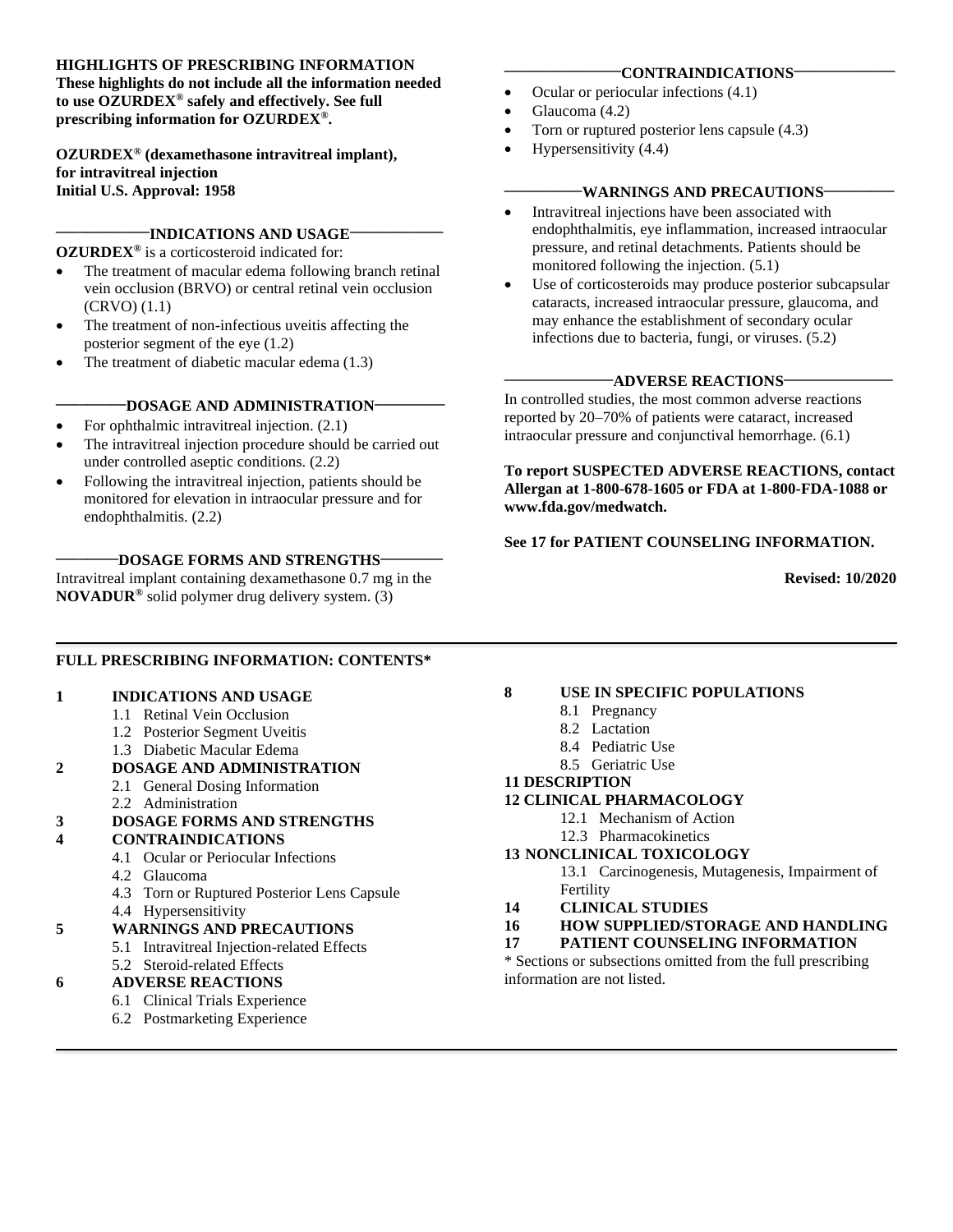#### **HIGHLIGHTS OF PRESCRIBING INFORMATION**

**These highlights do not include all the information needed to use OZURDEX® safely and effectively. See full prescribing information for OZURDEX®.**

#### **OZURDEX® (dexamethasone intravitreal implant), for intravitreal injection Initial U.S. Approval: 1958**

#### **\_\_\_\_\_\_\_\_\_\_\_\_INDICATIONS AND USAGE\_\_\_\_\_\_\_\_\_\_\_\_**

**OZURDEX®** is a corticosteroid indicated for:

- The treatment of macular edema following branch retinal vein occlusion (BRVO) or central retinal vein occlusion (CRVO) (1.1)
- The treatment of non-infectious uveitis affecting the posterior segment of the eye (1.2)
- The treatment of diabetic macular edema  $(1.3)$

#### **\_\_\_\_\_\_\_\_\_DOSAGE AND ADMINISTRATION\_\_\_\_\_\_\_\_\_**

- For ophthalmic intravitreal injection. (2.1)
- The intravitreal injection procedure should be carried out under controlled aseptic conditions. (2.2)
- Following the intravitreal injection, patients should be monitored for elevation in intraocular pressure and for endophthalmitis. (2.2)

#### **\_\_\_\_\_\_\_\_DOSAGE FORMS AND STRENGTHS\_\_\_\_\_\_\_\_**

Intravitreal implant containing dexamethasone 0.7 mg in the **NOVADUR®** solid polymer drug delivery system. (3)

#### **FULL PRESCRIBING INFORMATION: CONTENTS\***

#### **1 INDICATIONS AND USAGE**

- 1.1 Retinal Vein Occlusion
- 1.2 Posterior Segment Uveitis
- 1.3 Diabetic Macular Edema

#### **2 DOSAGE AND ADMINISTRATION**

- 2.1 General Dosing Information
- 2.2 Administration

#### **3 DOSAGE FORMS AND STRENGTHS**

#### **4 CONTRAINDICATIONS**

- 4.1 Ocular or Periocular Infections
- 4.2 Glaucoma
- 4.3 Torn or Ruptured Posterior Lens Capsule
- 4.4 Hypersensitivity

#### **5 WARNINGS AND PRECAUTIONS**

- 5.1 Intravitreal Injection-related Effects
- 5.2 Steroid-related Effects

#### **6 ADVERSE REACTIONS**

- 6.1 Clinical Trials Experience
- 6.2 Postmarketing Experience

#### **\_\_\_\_\_\_\_\_\_\_\_\_\_\_\_CONTRAINDICATIONS\_\_\_\_\_\_\_\_\_\_\_\_\_**

- Ocular or periocular infections (4.1)
- Glaucoma (4.2)
- Torn or ruptured posterior lens capsule (4.3)
- Hypersensitivity (4.4)

#### **\_\_\_\_\_\_\_\_\_\_WARNINGS AND PRECAUTIONS\_\_\_\_\_\_\_\_\_**

- Intravitreal injections have been associated with endophthalmitis, eye inflammation, increased intraocular pressure, and retinal detachments. Patients should be monitored following the injection. (5.1)
- Use of corticosteroids may produce posterior subcapsular cataracts, increased intraocular pressure, glaucoma, and may enhance the establishment of secondary ocular infections due to bacteria, fungi, or viruses. (5.2)

#### **\_\_\_\_\_\_\_\_\_\_\_\_\_\_ADVERSE REACTIONS\_\_\_\_\_\_\_\_\_\_\_\_\_\_**

In controlled studies, the most common adverse reactions reported by 20–70% of patients were cataract, increased intraocular pressure and conjunctival hemorrhage. (6.1)

**To report SUSPECTED ADVERSE REACTIONS, contact Allergan at 1-800-678-1605 or FDA at 1-800-FDA-1088 or www.fda.gov/medwatch.**

#### **See 17 for PATIENT COUNSELING INFORMATION.**

**Revised: 10/2020**

#### **8 USE IN SPECIFIC POPULATIONS**

- 8.1 Pregnancy
	- 8.2 Lactation
	- 8.4 Pediatric Use
	- 8.5 Geriatric Use

#### **11 DESCRIPTION**

#### **12 CLINICAL PHARMACOLOGY**

- 12.1 Mechanism of Action
	- 12.3 Pharmacokinetics

#### **13 NONCLINICAL TOXICOLOGY**

13.1 Carcinogenesis, Mutagenesis, Impairment of Fertility

**14 CLINICAL STUDIES**

#### **16 HOW SUPPLIED/STORAGE AND HANDLING**

**17 PATIENT COUNSELING INFORMATION**

\* Sections or subsections omitted from the full prescribing information are not listed.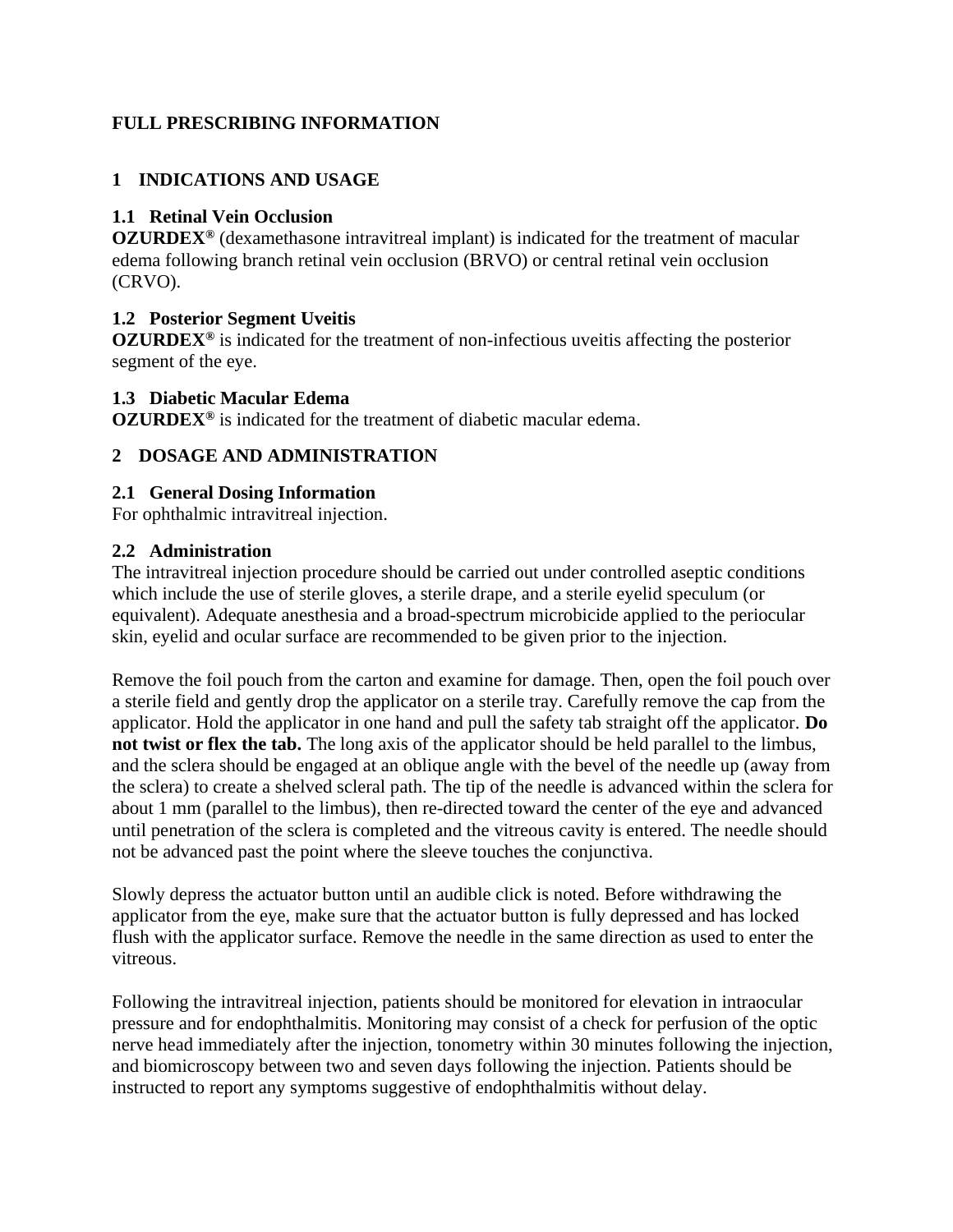## **FULL PRESCRIBING INFORMATION**

## **1 INDICATIONS AND USAGE**

## **1.1 Retinal Vein Occlusion**

**OZURDEX®** (dexamethasone intravitreal implant) is indicated for the treatment of macular edema following branch retinal vein occlusion (BRVO) or central retinal vein occlusion (CRVO).

## **1.2 Posterior Segment Uveitis**

**OZURDEX®** is indicated for the treatment of non-infectious uveitis affecting the posterior segment of the eye.

### **1.3 Diabetic Macular Edema**

**OZURDEX®** is indicated for the treatment of diabetic macular edema.

## **2 DOSAGE AND ADMINISTRATION**

### **2.1 General Dosing Information**

For ophthalmic intravitreal injection.

### **2.2 Administration**

The intravitreal injection procedure should be carried out under controlled aseptic conditions which include the use of sterile gloves, a sterile drape, and a sterile eyelid speculum (or equivalent). Adequate anesthesia and a broad-spectrum microbicide applied to the periocular skin, eyelid and ocular surface are recommended to be given prior to the injection.

Remove the foil pouch from the carton and examine for damage. Then, open the foil pouch over a sterile field and gently drop the applicator on a sterile tray. Carefully remove the cap from the applicator. Hold the applicator in one hand and pull the safety tab straight off the applicator. **Do not twist or flex the tab.** The long axis of the applicator should be held parallel to the limbus, and the sclera should be engaged at an oblique angle with the bevel of the needle up (away from the sclera) to create a shelved scleral path. The tip of the needle is advanced within the sclera for about 1 mm (parallel to the limbus), then re-directed toward the center of the eye and advanced until penetration of the sclera is completed and the vitreous cavity is entered. The needle should not be advanced past the point where the sleeve touches the conjunctiva.

Slowly depress the actuator button until an audible click is noted. Before withdrawing the applicator from the eye, make sure that the actuator button is fully depressed and has locked flush with the applicator surface. Remove the needle in the same direction as used to enter the vitreous.

Following the intravitreal injection, patients should be monitored for elevation in intraocular pressure and for endophthalmitis. Monitoring may consist of a check for perfusion of the optic nerve head immediately after the injection, tonometry within 30 minutes following the injection, and biomicroscopy between two and seven days following the injection. Patients should be instructed to report any symptoms suggestive of endophthalmitis without delay.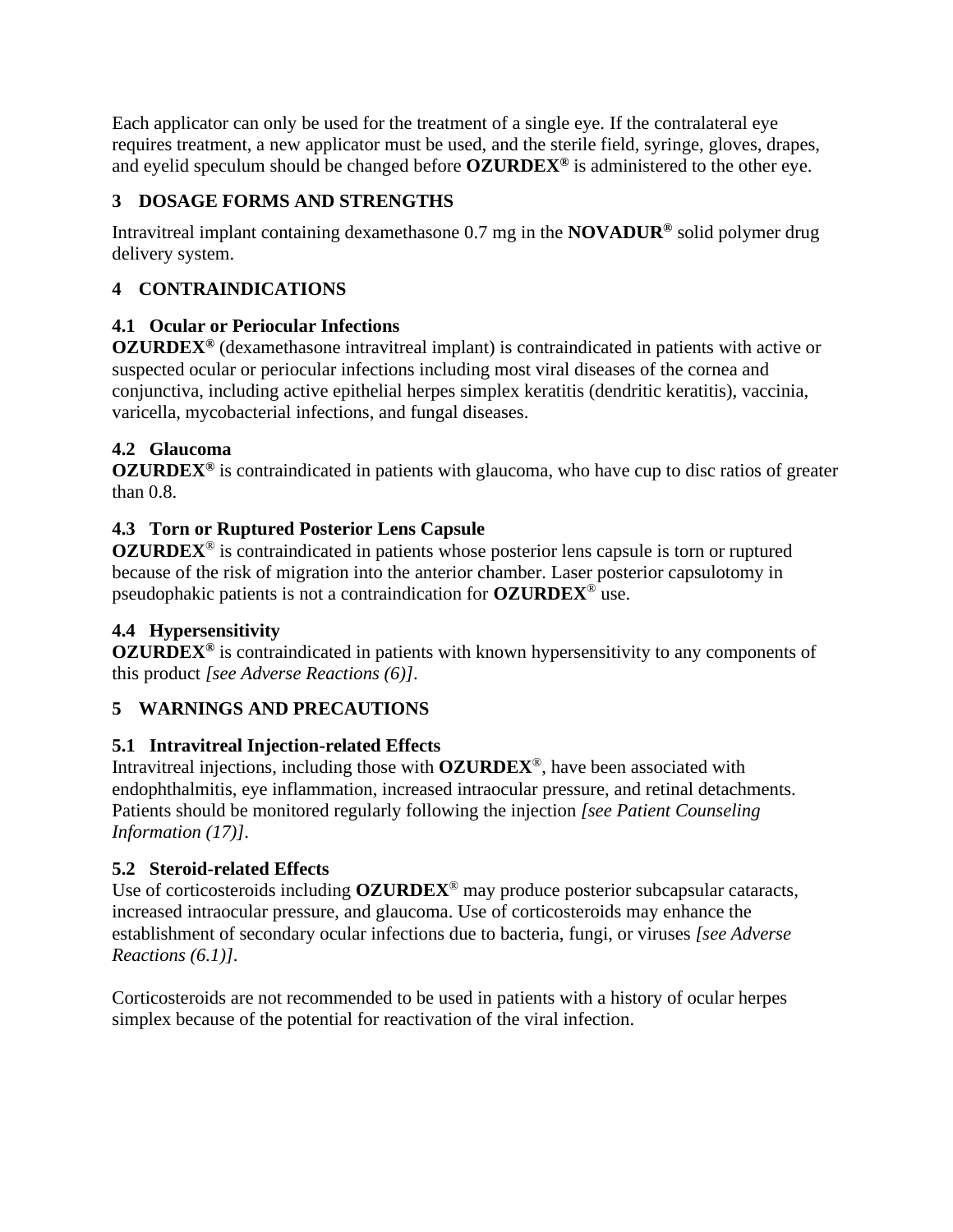Each applicator can only be used for the treatment of a single eye. If the contralateral eye requires treatment, a new applicator must be used, and the sterile field, syringe, gloves, drapes, and eyelid speculum should be changed before **OZURDEX®** is administered to the other eye.

# **3 DOSAGE FORMS AND STRENGTHS**

Intravitreal implant containing dexamethasone 0.7 mg in the **NOVADUR®** solid polymer drug delivery system.

# **4 CONTRAINDICATIONS**

# **4.1 Ocular or Periocular Infections**

**OZURDEX®** (dexamethasone intravitreal implant) is contraindicated in patients with active or suspected ocular or periocular infections including most viral diseases of the cornea and conjunctiva, including active epithelial herpes simplex keratitis (dendritic keratitis), vaccinia, varicella, mycobacterial infections, and fungal diseases.

# **4.2 Glaucoma**

**OZURDEX®** is contraindicated in patients with glaucoma, who have cup to disc ratios of greater than 0.8.

# **4.3 Torn or Ruptured Posterior Lens Capsule**

**OZURDEX<sup>®</sup>** is contraindicated in patients whose posterior lens capsule is torn or ruptured because of the risk of migration into the anterior chamber. Laser posterior capsulotomy in pseudophakic patients is not a contraindication for **OZURDEX**® use.

## **4.4 Hypersensitivity**

**OZURDEX®** is contraindicated in patients with known hypersensitivity to any components of this product *[see Adverse Reactions (6)]*.

# **5 WARNINGS AND PRECAUTIONS**

## **5.1 Intravitreal Injection-related Effects**

Intravitreal injections, including those with **OZURDEX**®, have been associated with endophthalmitis, eye inflammation, increased intraocular pressure, and retinal detachments. Patients should be monitored regularly following the injection *[see Patient Counseling Information (17)]*.

# **5.2 Steroid-related Effects**

Use of corticosteroids including **OZURDEX**® may produce posterior subcapsular cataracts, increased intraocular pressure, and glaucoma. Use of corticosteroids may enhance the establishment of secondary ocular infections due to bacteria, fungi, or viruses *[see Adverse Reactions (6.1)]*.

Corticosteroids are not recommended to be used in patients with a history of ocular herpes simplex because of the potential for reactivation of the viral infection.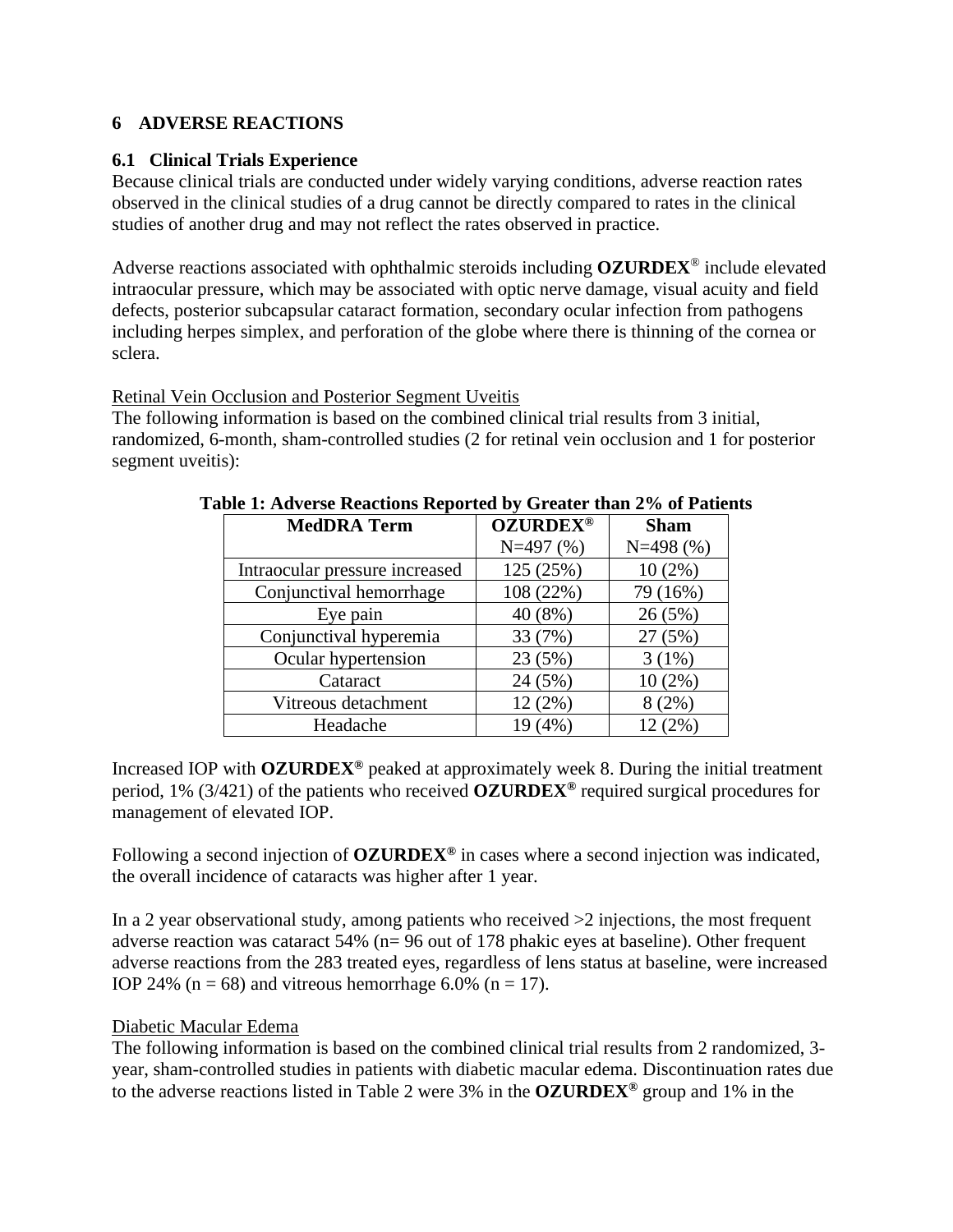## **6 ADVERSE REACTIONS**

### **6.1 Clinical Trials Experience**

Because clinical trials are conducted under widely varying conditions, adverse reaction rates observed in the clinical studies of a drug cannot be directly compared to rates in the clinical studies of another drug and may not reflect the rates observed in practice.

Adverse reactions associated with ophthalmic steroids including **OZURDEX**® include elevated intraocular pressure, which may be associated with optic nerve damage, visual acuity and field defects, posterior subcapsular cataract formation, secondary ocular infection from pathogens including herpes simplex, and perforation of the globe where there is thinning of the cornea or sclera.

### Retinal Vein Occlusion and Posterior Segment Uveitis

The following information is based on the combined clinical trial results from 3 initial, randomized, 6-month, sham-controlled studies (2 for retinal vein occlusion and 1 for posterior segment uveitis):

| <b>MedDRA Term</b>             | <b>OZURDEX®</b> | <b>Sham</b> |  |  |
|--------------------------------|-----------------|-------------|--|--|
|                                | $N=497(%)$      | $N=498(%)$  |  |  |
| Intraocular pressure increased | 125 (25%)       | $10(2\%)$   |  |  |
| Conjunctival hemorrhage        | 108 (22%)       | 79 (16%)    |  |  |
| Eye pain                       | 40 (8%)         | 26(5%)      |  |  |
| Conjunctival hyperemia         | 33 (7%)         | 27(5%)      |  |  |
| Ocular hypertension            | 23 (5%)         | 3(1%)       |  |  |
| Cataract                       | 24 (5%)         | $10(2\%)$   |  |  |
| Vitreous detachment            | 12(2%)          | 8(2%)       |  |  |
| Headache                       | 19 (4%)         | $12(2\%)$   |  |  |

### **Table 1: Adverse Reactions Reported by Greater than 2% of Patients**

Increased IOP with **OZURDEX®** peaked at approximately week 8. During the initial treatment period, 1% (3/421) of the patients who received **OZURDEX®** required surgical procedures for management of elevated IOP.

Following a second injection of **OZURDEX®** in cases where a second injection was indicated, the overall incidence of cataracts was higher after 1 year.

In a 2 year observational study, among patients who received  $>2$  injections, the most frequent adverse reaction was cataract 54% (n= 96 out of 178 phakic eyes at baseline). Other frequent adverse reactions from the 283 treated eyes, regardless of lens status at baseline, were increased IOP 24% ( $n = 68$ ) and vitreous hemorrhage 6.0% ( $n = 17$ ).

## Diabetic Macular Edema

The following information is based on the combined clinical trial results from 2 randomized, 3 year, sham-controlled studies in patients with diabetic macular edema. Discontinuation rates due to the adverse reactions listed in Table 2 were 3% in the **OZURDEX®** group and 1% in the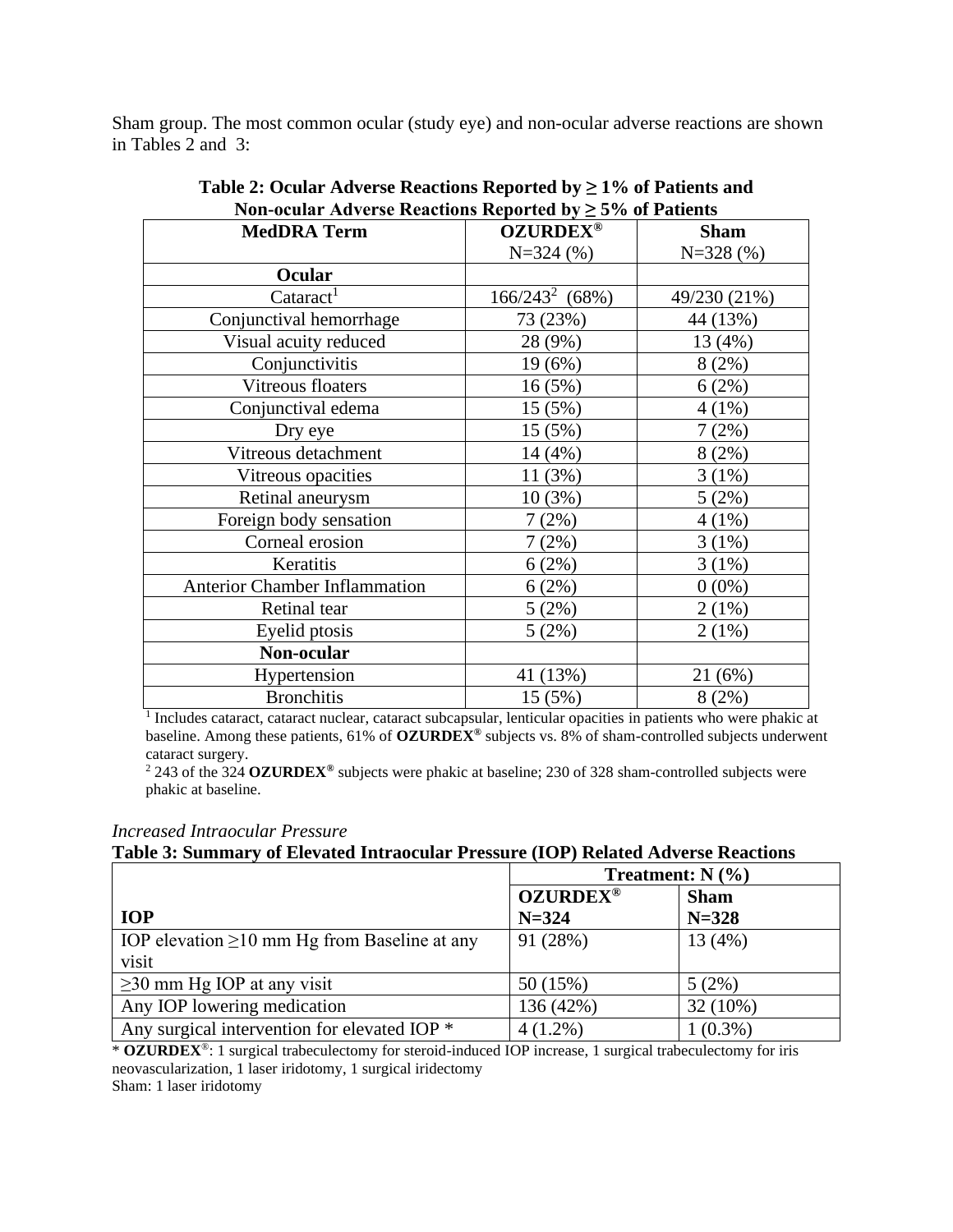Sham group. The most common ocular (study eye) and non-ocular adverse reactions are shown in Tables 2 and 3:

| <b>TWIF UCURE AUVELSE INFACTIONS INFLUE UP <math>\leq</math> 5 70 UL L AUVELLS</b> |                   |              |  |  |  |
|------------------------------------------------------------------------------------|-------------------|--------------|--|--|--|
| <b>MedDRA Term</b>                                                                 | <b>OZURDEX®</b>   | <b>Sham</b>  |  |  |  |
|                                                                                    | $N=324(%)$        | $N=328(%)$   |  |  |  |
| Ocular                                                                             |                   |              |  |  |  |
| Cataract <sup>1</sup>                                                              | $166/243^2$ (68%) | 49/230 (21%) |  |  |  |
| Conjunctival hemorrhage                                                            | 73 (23%)          | 44 (13%)     |  |  |  |
| Visual acuity reduced                                                              | 28 (9%)           | 13 (4%)      |  |  |  |
| Conjunctivitis                                                                     | 19(6%)            | 8(2%)        |  |  |  |
| Vitreous floaters                                                                  | 16(5%)            | 6(2%)        |  |  |  |
| Conjunctival edema                                                                 | 15(5%)            | $4(1\%)$     |  |  |  |
| Dry eye                                                                            | 15(5%)            | 7(2%)        |  |  |  |
| Vitreous detachment                                                                | 14 (4%)           | 8(2%)        |  |  |  |
| Vitreous opacities                                                                 | 11 (3%)           | 3(1%)        |  |  |  |
| Retinal aneurysm                                                                   | 10(3%)            | 5(2%)        |  |  |  |
| Foreign body sensation                                                             | 7(2%)             | $4(1\%)$     |  |  |  |
| Corneal erosion                                                                    | 7(2%)             | 3(1%)        |  |  |  |
| Keratitis                                                                          | 6(2%)             | 3(1%)        |  |  |  |
| <b>Anterior Chamber Inflammation</b>                                               | 6(2%)             | $0(0\%)$     |  |  |  |
| Retinal tear                                                                       | 5(2%)             | 2(1%)        |  |  |  |
| Eyelid ptosis                                                                      | 5(2%)             | 2(1%)        |  |  |  |
| Non-ocular                                                                         |                   |              |  |  |  |
| Hypertension                                                                       | 41 (13%)          | 21 (6%)      |  |  |  |
| <b>Bronchitis</b>                                                                  | 15(5%)            | 8(2%)        |  |  |  |

**Table 2: Ocular Adverse Reactions Reported by ≥ 1% of Patients and Non-ocular Adverse Reactions Reported by ≥ 5% of Patients**

<sup>1</sup> Includes cataract, cataract nuclear, cataract subcapsular, lenticular opacities in patients who were phakic at baseline. Among these patients, 61% of **OZURDEX®** subjects vs. 8% of sham-controlled subjects underwent cataract surgery.

<sup>2</sup> 243 of the 324 **OZURDEX®** subjects were phakic at baseline; 230 of 328 sham-controlled subjects were phakic at baseline.

# *Increased Intraocular Pressure*

### **Table 3: Summary of Elevated Intraocular Pressure (IOP) Related Adverse Reactions**

|                                                    | <b>Treatment:</b> $N$ (%) |             |
|----------------------------------------------------|---------------------------|-------------|
|                                                    | <b>OZURDEX®</b>           | <b>Sham</b> |
| <b>IOP</b>                                         | $N = 324$                 | $N = 328$   |
| IOP elevation $\geq$ 10 mm Hg from Baseline at any | 91 (28%)                  | 13(4%)      |
| visit                                              |                           |             |
| $\geq$ 30 mm Hg IOP at any visit                   | 50(15%)                   | 5(2%)       |
| Any IOP lowering medication                        | 136 (42%)                 | $32(10\%)$  |
| Any surgical intervention for elevated IOP *       | $4(1.2\%)$                | $1(0.3\%)$  |

\* **OZURDEX**®: 1 surgical trabeculectomy for steroid-induced IOP increase, 1 surgical trabeculectomy for iris neovascularization, 1 laser iridotomy, 1 surgical iridectomy Sham: 1 laser iridotomy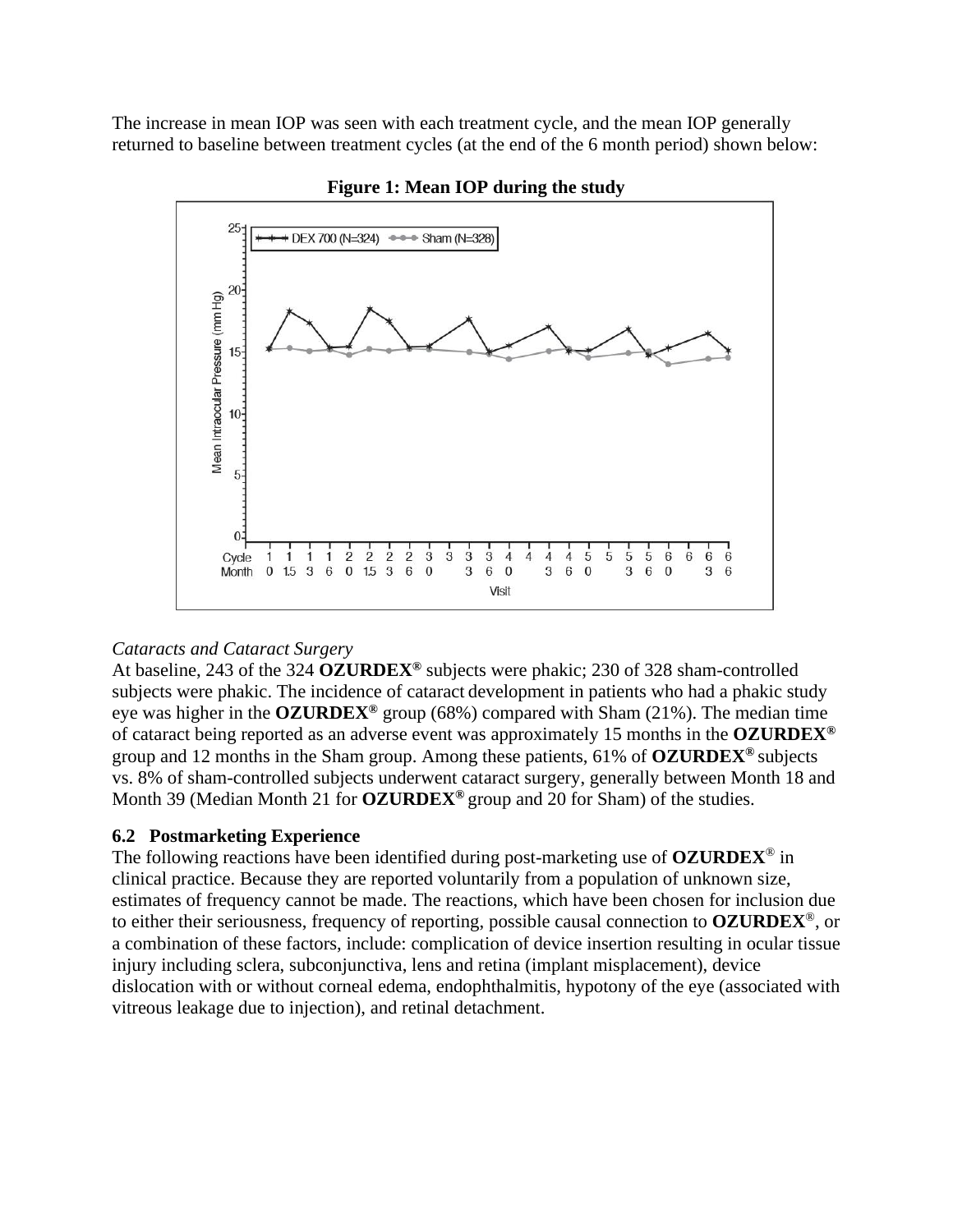The increase in mean IOP was seen with each treatment cycle, and the mean IOP generally returned to baseline between treatment cycles (at the end of the 6 month period) shown below:



**Figure 1: Mean IOP during the study** 

### *Cataracts and Cataract Surgery*

At baseline, 243 of the 324 **OZURDEX®** subjects were phakic; 230 of 328 sham-controlled subjects were phakic. The incidence of cataract development in patients who had a phakic study eye was higher in the **OZURDEX®** group (68%) compared with Sham (21%). The median time of cataract being reported as an adverse event was approximately 15 months in the **OZURDEX®** group and 12 months in the Sham group. Among these patients, 61% of **OZURDEX®** subjects vs. 8% of sham-controlled subjects underwent cataract surgery, generally between Month 18 and Month 39 (Median Month 21 for **OZURDEX®** group and 20 for Sham) of the studies.

### **6.2 Postmarketing Experience**

The following reactions have been identified during post-marketing use of **OZURDEX**® in clinical practice. Because they are reported voluntarily from a population of unknown size, estimates of frequency cannot be made. The reactions, which have been chosen for inclusion due to either their seriousness, frequency of reporting, possible causal connection to **OZURDEX**®, or a combination of these factors, include: complication of device insertion resulting in ocular tissue injury including sclera, subconjunctiva, lens and retina (implant misplacement), device dislocation with or without corneal edema, endophthalmitis, hypotony of the eye (associated with vitreous leakage due to injection), and retinal detachment.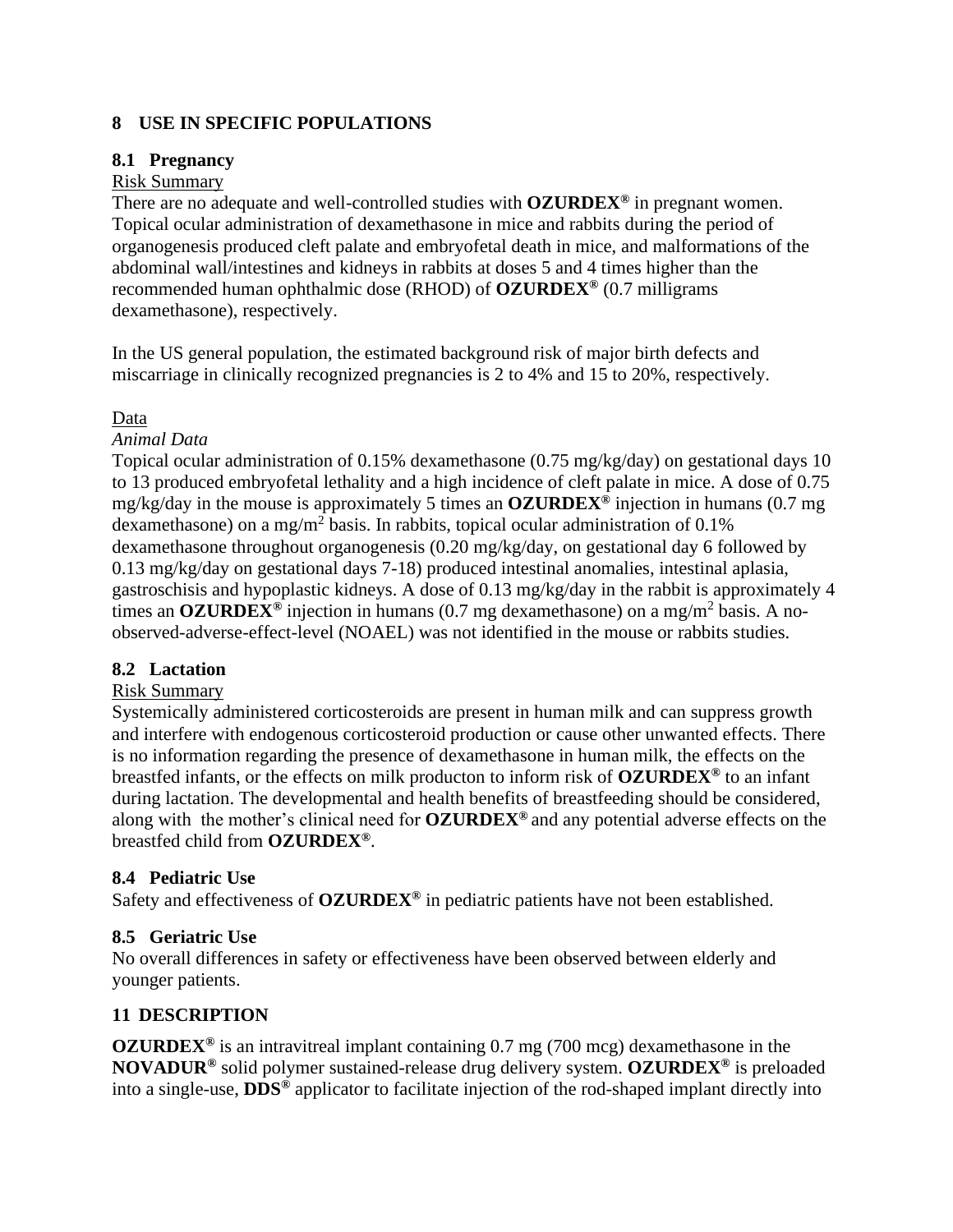## **8 USE IN SPECIFIC POPULATIONS**

## **8.1 Pregnancy**

## Risk Summary

There are no adequate and well-controlled studies with **OZURDEX®** in pregnant women. Topical ocular administration of dexamethasone in mice and rabbits during the period of organogenesis produced cleft palate and embryofetal death in mice, and malformations of the abdominal wall/intestines and kidneys in rabbits at doses 5 and 4 times higher than the recommended human ophthalmic dose (RHOD) of **OZURDEX®** (0.7 milligrams dexamethasone), respectively.

In the US general population, the estimated background risk of major birth defects and miscarriage in clinically recognized pregnancies is 2 to 4% and 15 to 20%, respectively.

## Data

### *Animal Data*

Topical ocular administration of 0.15% dexamethasone (0.75 mg/kg/day) on gestational days 10 to 13 produced embryofetal lethality and a high incidence of cleft palate in mice. A dose of 0.75 mg/kg/day in the mouse is approximately 5 times an **OZURDEX®** injection in humans (0.7 mg dexamethasone) on a mg/m<sup>2</sup> basis. In rabbits, topical ocular administration of 0.1% dexamethasone throughout organogenesis (0.20 mg/kg/day, on gestational day 6 followed by 0.13 mg/kg/day on gestational days 7-18) produced intestinal anomalies, intestinal aplasia, gastroschisis and hypoplastic kidneys. A dose of 0.13 mg/kg/day in the rabbit is approximately 4 times an **OZURDEX<sup>®</sup>** injection in humans (0.7 mg dexamethasone) on a mg/m<sup>2</sup> basis. A noobserved-adverse-effect-level (NOAEL) was not identified in the mouse or rabbits studies.

## **8.2 Lactation**

## Risk Summary

Systemically administered corticosteroids are present in human milk and can suppress growth and interfere with endogenous corticosteroid production or cause other unwanted effects. There is no information regarding the presence of dexamethasone in human milk, the effects on the breastfed infants, or the effects on milk producton to inform risk of **OZURDEX®** to an infant during lactation. The developmental and health benefits of breastfeeding should be considered, along with the mother's clinical need for **OZURDEX®** and any potential adverse effects on the breastfed child from **OZURDEX®**.

## **8.4 Pediatric Use**

Safety and effectiveness of **OZURDEX®** in pediatric patients have not been established.

## **8.5 Geriatric Use**

No overall differences in safety or effectiveness have been observed between elderly and younger patients.

## **11 DESCRIPTION**

**OZURDEX®** is an intravitreal implant containing 0.7 mg (700 mcg) dexamethasone in the **NOVADUR®** solid polymer sustained-release drug delivery system. **OZURDEX®** is preloaded into a single-use, **DDS®** applicator to facilitate injection of the rod-shaped implant directly into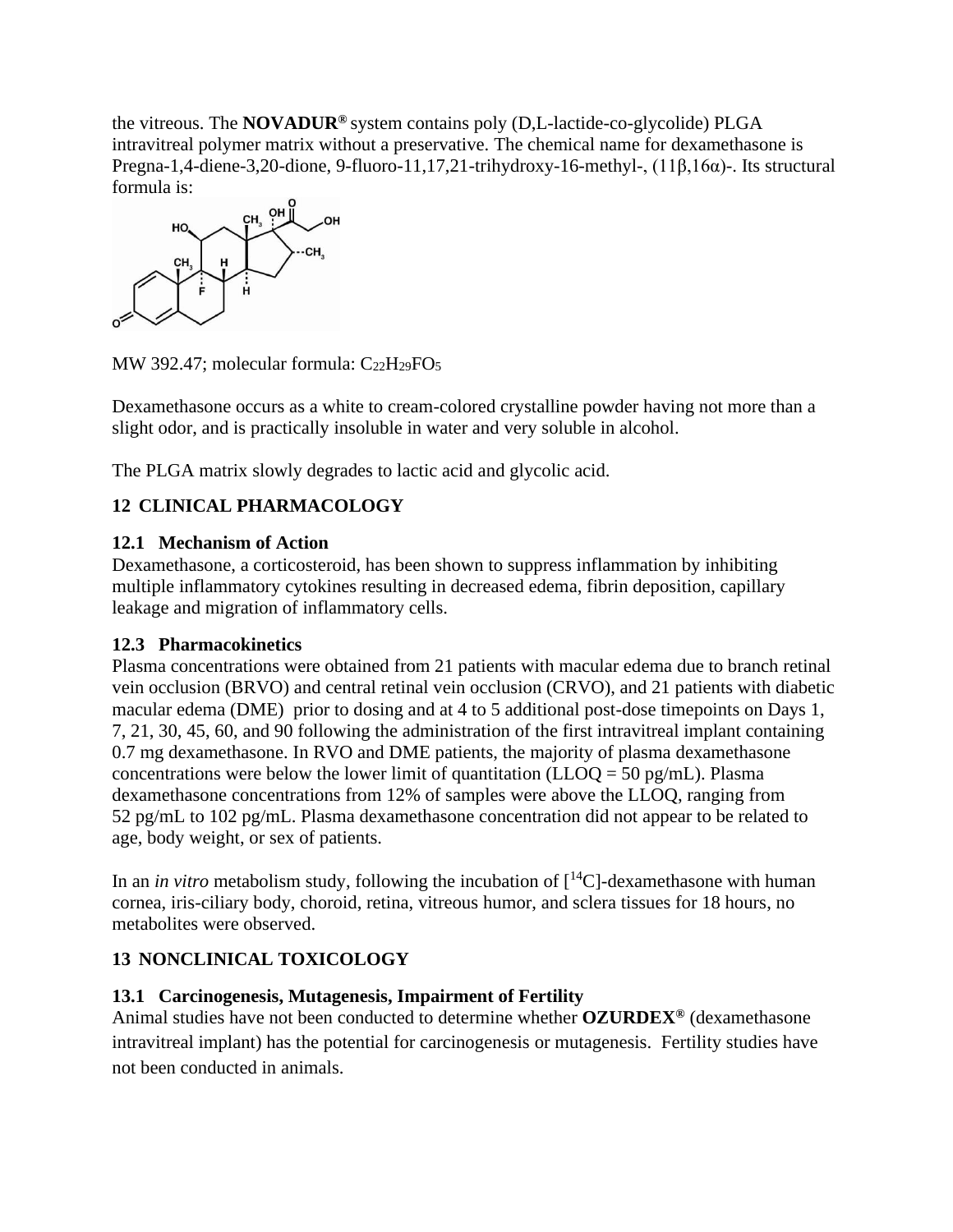the vitreous. The **NOVADUR®** system contains poly (D,L-lactide-co-glycolide) PLGA intravitreal polymer matrix without a preservative. The chemical name for dexamethasone is Pregna-1,4-diene-3,20-dione, 9-fluoro-11,17,21-trihydroxy-16-methyl-, (11β,16α)-. Its structural formula is:



MW 392.47; molecular formula:  $C_{22}H_{29}FO_5$ 

Dexamethasone occurs as a white to cream-colored crystalline powder having not more than a slight odor, and is practically insoluble in water and very soluble in alcohol.

The PLGA matrix slowly degrades to lactic acid and glycolic acid.

# **12 CLINICAL PHARMACOLOGY**

# **12.1 Mechanism of Action**

Dexamethasone, a corticosteroid, has been shown to suppress inflammation by inhibiting multiple inflammatory cytokines resulting in decreased edema, fibrin deposition, capillary leakage and migration of inflammatory cells.

# **12.3 Pharmacokinetics**

Plasma concentrations were obtained from 21 patients with macular edema due to branch retinal vein occlusion (BRVO) and central retinal vein occlusion (CRVO), and 21 patients with diabetic macular edema (DME) prior to dosing and at 4 to 5 additional post-dose timepoints on Days 1, 7, 21, 30, 45, 60, and 90 following the administration of the first intravitreal implant containing 0.7 mg dexamethasone. In RVO and DME patients, the majority of plasma dexamethasone concentrations were below the lower limit of quantitation (LLOQ = 50 pg/mL). Plasma dexamethasone concentrations from 12% of samples were above the LLOQ, ranging from 52 pg/mL to 102 pg/mL. Plasma dexamethasone concentration did not appear to be related to age, body weight, or sex of patients.

In an *in vitro* metabolism study, following the incubation of  $\lceil {^{14}C} \rceil$ -dexamethasone with human cornea, iris-ciliary body, choroid, retina, vitreous humor, and sclera tissues for 18 hours, no metabolites were observed.

# **13 NONCLINICAL TOXICOLOGY**

# **13.1 Carcinogenesis, Mutagenesis, Impairment of Fertility**

Animal studies have not been conducted to determine whether **OZURDEX®** (dexamethasone intravitreal implant) has the potential for carcinogenesis or mutagenesis. Fertility studies have not been conducted in animals.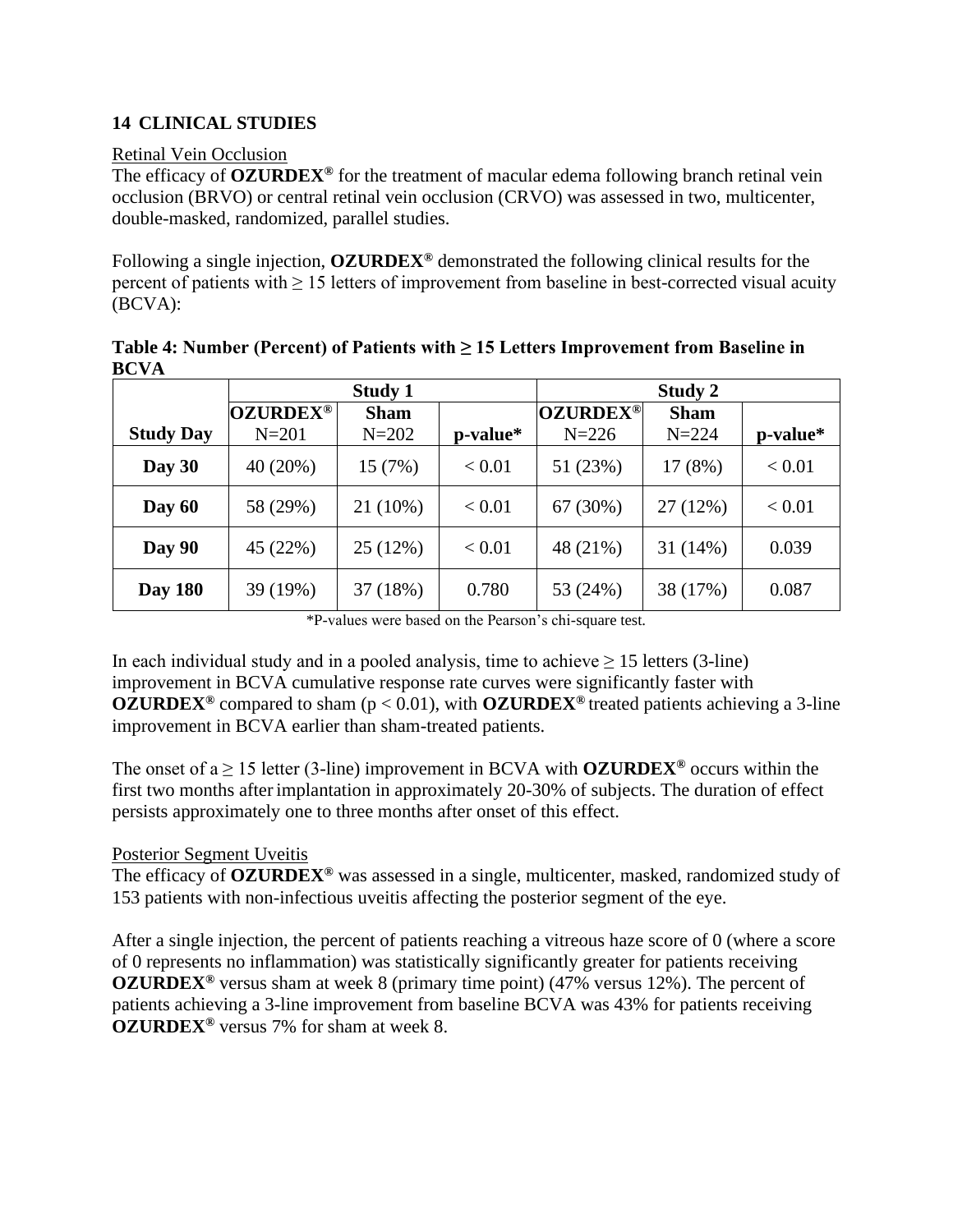## **14 CLINICAL STUDIES**

## Retinal Vein Occlusion

The efficacy of **OZURDEX®** for the treatment of macular edema following branch retinal vein occlusion (BRVO) or central retinal vein occlusion (CRVO) was assessed in two, multicenter, double-masked, randomized, parallel studies.

Following a single injection, **OZURDEX®** demonstrated the following clinical results for the percent of patients with  $\geq 15$  letters of improvement from baseline in best-corrected visual acuity (BCVA):

**Table 4: Number (Percent) of Patients with ≥ 15 Letters Improvement from Baseline in BCVA**

|                  | <b>Study 1</b>               |                          |          | Study 2                      |                          |          |
|------------------|------------------------------|--------------------------|----------|------------------------------|--------------------------|----------|
| <b>Study Day</b> | <b>OZURDEX®</b><br>$N = 201$ | <b>Sham</b><br>$N = 202$ | p-value* | <b>OZURDEX®</b><br>$N = 226$ | <b>Sham</b><br>$N = 224$ | p-value* |
| Day $30$         | 40(20%)                      | 15(7%)                   | < 0.01   | 51 (23%)                     | 17(8%)                   | < 0.01   |
| Day $60$         | 58 (29%)                     | 21 (10%)                 | < 0.01   | 67 (30%)                     | 27 (12%)                 | < 0.01   |
| <b>Day 90</b>    | 45 (22%)                     | 25(12%)                  | < 0.01   | 48 (21%)                     | 31(14%)                  | 0.039    |
| <b>Day 180</b>   | 39 (19%)                     | 37 (18%)                 | 0.780    | 53 (24%)                     | 38 (17%)                 | 0.087    |

\*P-values were based on the Pearson's chi-square test.

In each individual study and in a pooled analysis, time to achieve  $\geq 15$  letters (3-line) improvement in BCVA cumulative response rate curves were significantly faster with **OZURDEX**<sup>®</sup> compared to sham ( $p < 0.01$ ), with **OZURDEX**<sup>®</sup> treated patients achieving a 3-line improvement in BCVA earlier than sham-treated patients.

The onset of  $a \ge 15$  letter (3-line) improvement in BCVA with **OZURDEX<sup>®</sup>** occurs within the first two months after implantation in approximately 20-30% of subjects. The duration of effect persists approximately one to three months after onset of this effect.

## Posterior Segment Uveitis

The efficacy of **OZURDEX®** was assessed in a single, multicenter, masked, randomized study of 153 patients with non-infectious uveitis affecting the posterior segment of the eye.

After a single injection, the percent of patients reaching a vitreous haze score of 0 (where a score of 0 represents no inflammation) was statistically significantly greater for patients receiving **OZURDEX<sup>®</sup>** versus sham at week 8 (primary time point) (47% versus 12%). The percent of patients achieving a 3-line improvement from baseline BCVA was 43% for patients receiving **OZURDEX®** versus 7% for sham at week 8.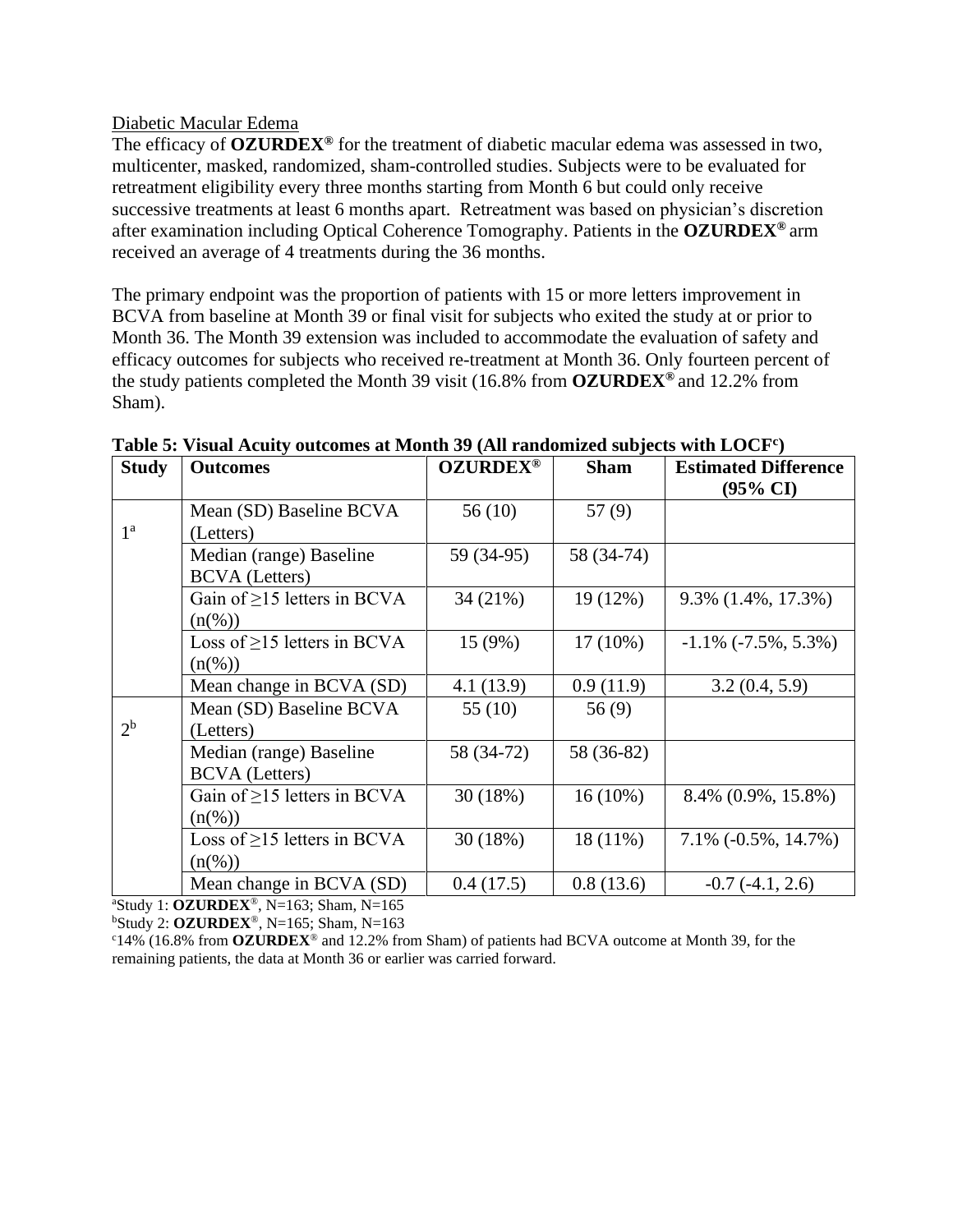### Diabetic Macular Edema

The efficacy of **OZURDEX®** for the treatment of diabetic macular edema was assessed in two, multicenter, masked, randomized, sham-controlled studies. Subjects were to be evaluated for retreatment eligibility every three months starting from Month 6 but could only receive successive treatments at least 6 months apart. Retreatment was based on physician's discretion after examination including Optical Coherence Tomography. Patients in the **OZURDEX®** arm received an average of 4 treatments during the 36 months.

The primary endpoint was the proportion of patients with 15 or more letters improvement in BCVA from baseline at Month 39 or final visit for subjects who exited the study at or prior to Month 36. The Month 39 extension was included to accommodate the evaluation of safety and efficacy outcomes for subjects who received re-treatment at Month 36. Only fourteen percent of the study patients completed the Month 39 visit (16.8% from **OZURDEX®** and 12.2% from Sham).

| <b>Study</b>   | <b>Outcomes</b>                                               | <b>OZURDEX®</b> | <b>Sham</b> | <b>Estimated Difference</b><br>$(95\% \text{ CI})$ |
|----------------|---------------------------------------------------------------|-----------------|-------------|----------------------------------------------------|
| 1 <sup>a</sup> | Mean (SD) Baseline BCVA                                       | 56(10)          | 57(9)       |                                                    |
|                | (Letters)<br>Median (range) Baseline<br><b>BCVA</b> (Letters) | 59 (34-95)      | 58 (34-74)  |                                                    |
|                | Gain of $\geq$ 15 letters in BCVA<br>$(n(\%))$                | 34 (21%)        | 19 (12%)    | 9.3% (1.4%, 17.3%)                                 |
|                | Loss of $\geq$ 15 letters in BCVA<br>$(n(\%))$                | 15 (9%)         | $17(10\%)$  | $-1.1\%$ ( $-7.5\%$ , 5.3%)                        |
|                | Mean change in BCVA (SD)                                      | 4.1(13.9)       | 0.9(11.9)   | 3.2(0.4, 5.9)                                      |
| $2^{b}$        | Mean (SD) Baseline BCVA<br>(Letters)                          | 55 (10)         | 56(9)       |                                                    |
|                | Median (range) Baseline<br><b>BCVA</b> (Letters)              | 58 (34-72)      | 58 (36-82)  |                                                    |
|                | Gain of $\geq$ 15 letters in BCVA<br>$(n(\%))$                | 30 (18%)        | $16(10\%)$  | 8.4% (0.9%, 15.8%)                                 |
|                | Loss of $\geq$ 15 letters in BCVA<br>$(n(\%))$                | 30 (18%)        | 18 (11%)    | $7.1\%$ ( $-0.5\%$ , 14.7%)                        |
|                | Mean change in BCVA (SD)                                      | 0.4(17.5)       | 0.8(13.6)   | $-0.7$ $(-4.1, 2.6)$                               |

**Table 5: Visual Acuity outcomes at Month 39 (All randomized subjects with LOCF<sup>c</sup> )** 

<sup>a</sup>Study 1: **OZURDEX**®, N=163; Sham, N=165

<sup>b</sup>Study 2: **OZURDEX**®, N=165; Sham, N=163

<sup>c</sup>14% (16.8% from **OZURDEX**® and 12.2% from Sham) of patients had BCVA outcome at Month 39, for the remaining patients, the data at Month 36 or earlier was carried forward.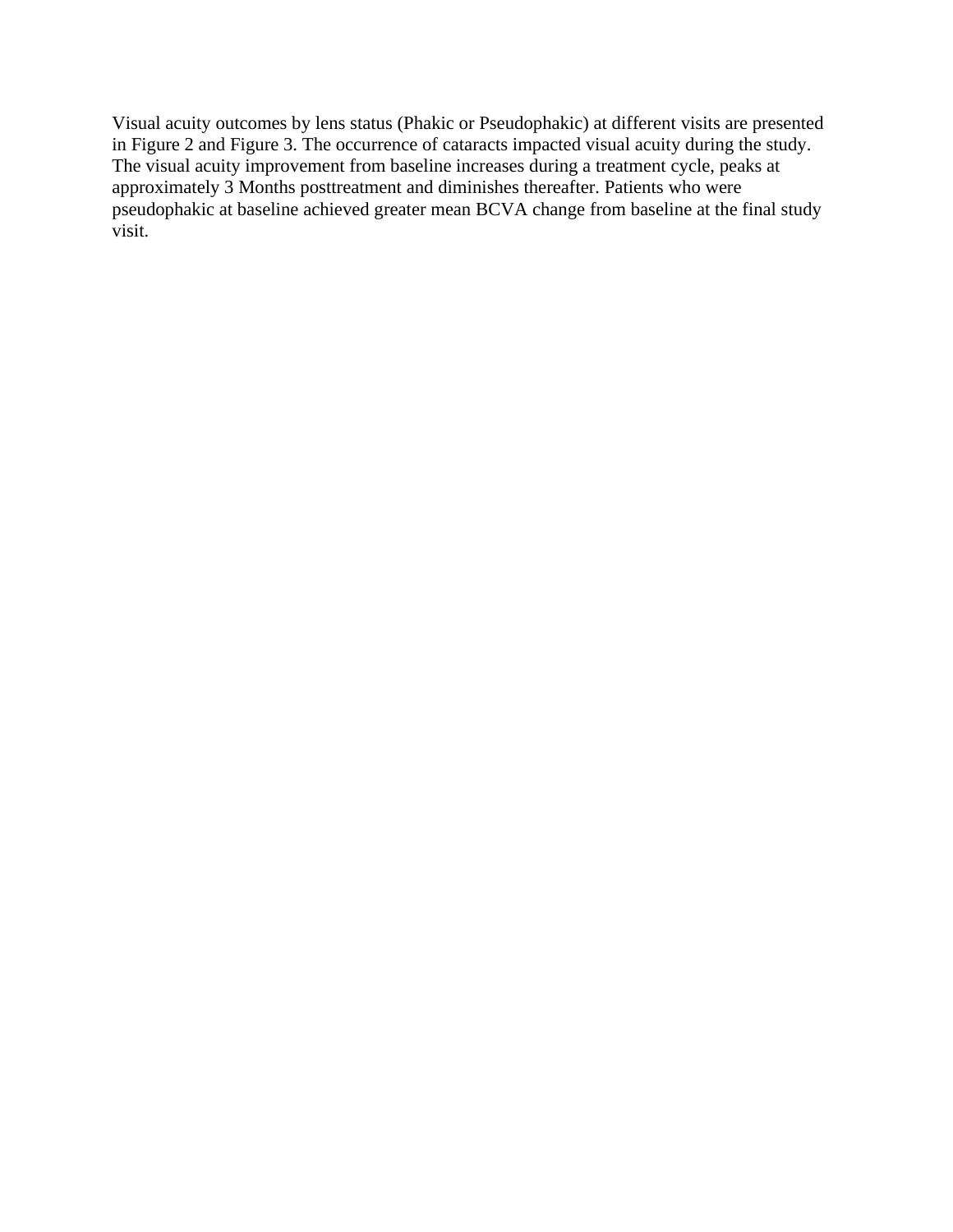Visual acuity outcomes by lens status (Phakic or Pseudophakic) at different visits are presented in Figure 2 and Figure 3. The occurrence of cataracts impacted visual acuity during the study. The visual acuity improvement from baseline increases during a treatment cycle, peaks at approximately 3 Months posttreatment and diminishes thereafter. Patients who were pseudophakic at baseline achieved greater mean BCVA change from baseline at the final study visit.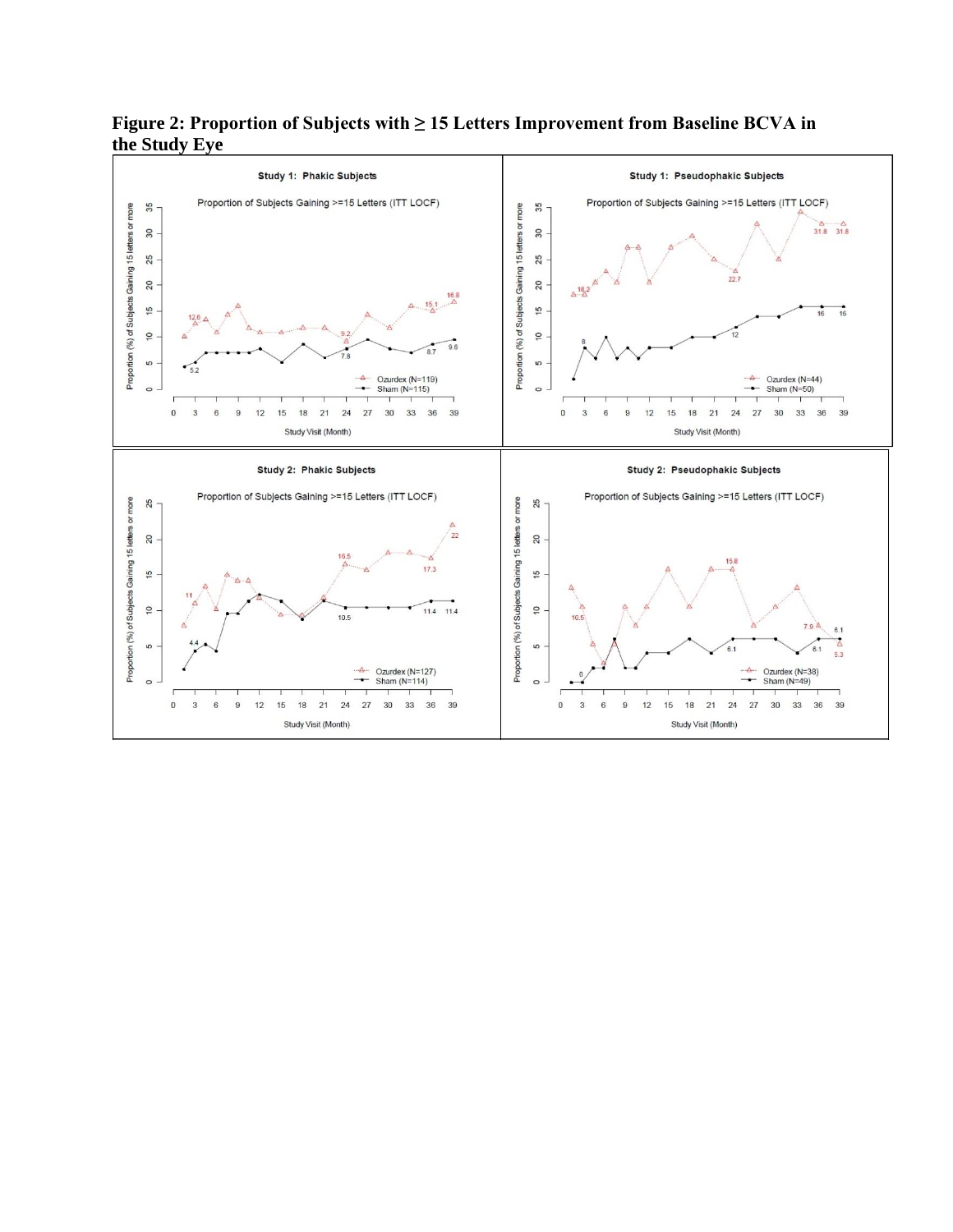

**Figure 2: Proportion of Subjects with ≥ 15 Letters Improvement from Baseline BCVA in the Study Eye**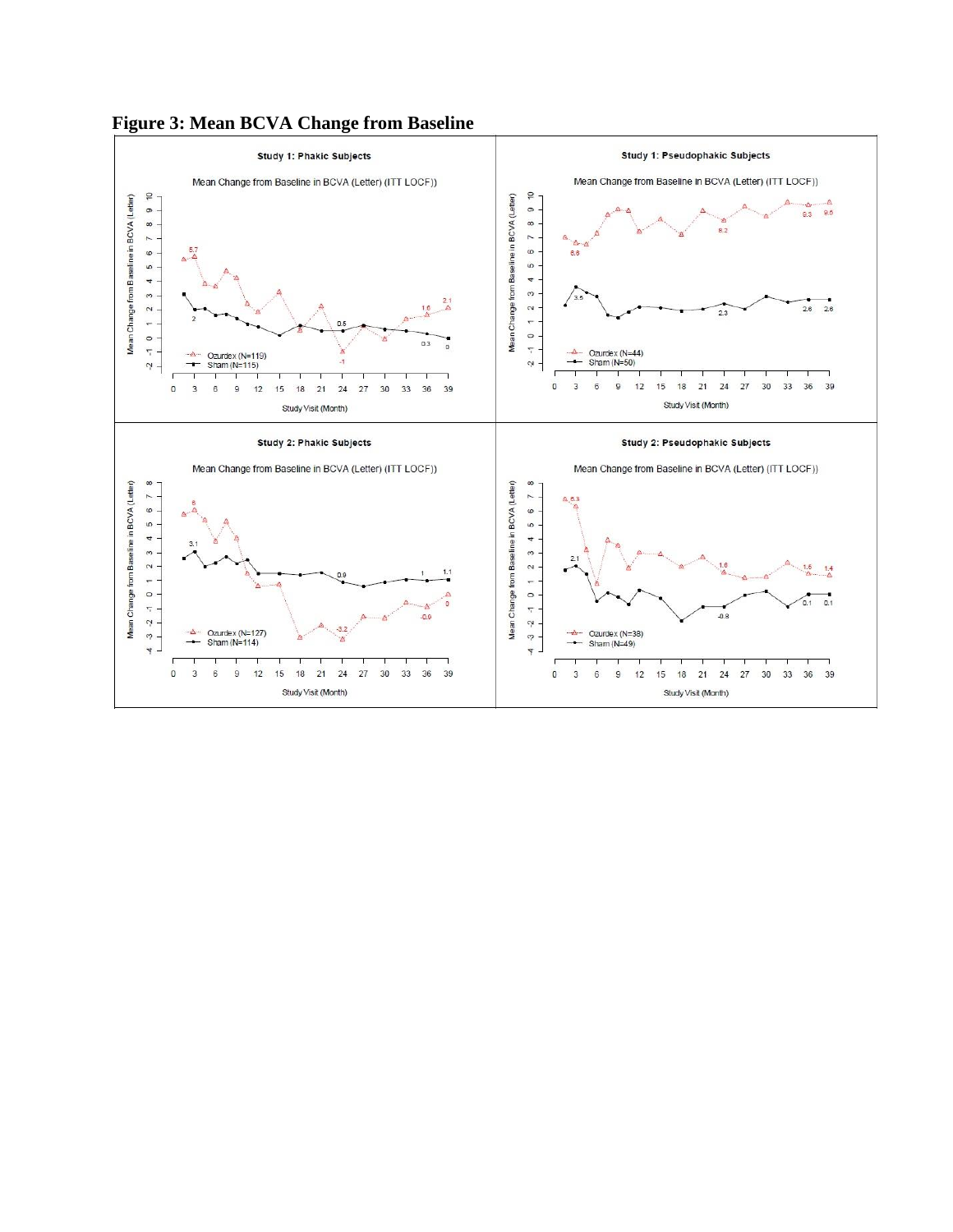

**Figure 3: Mean BCVA Change from Baseline**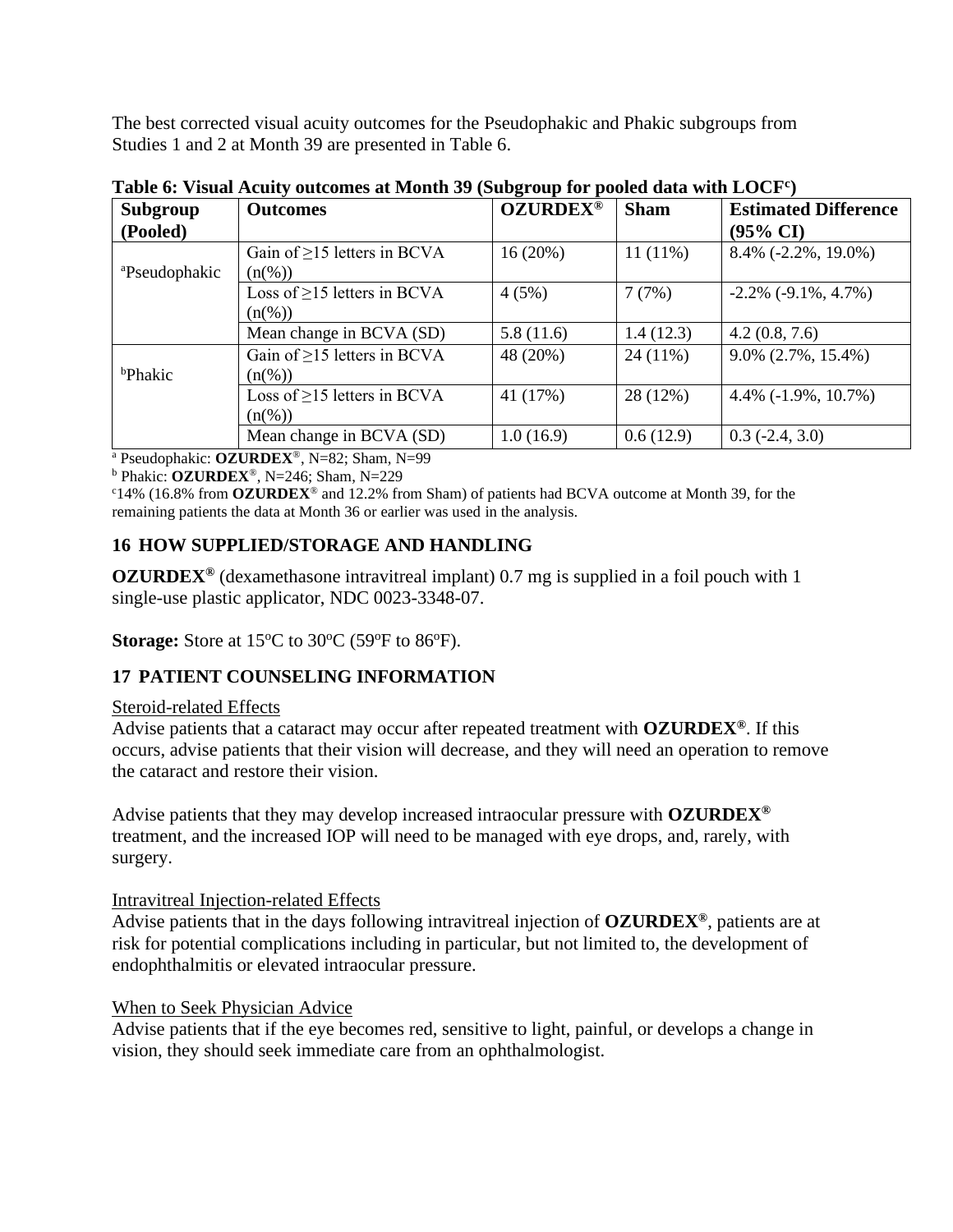The best corrected visual acuity outcomes for the Pseudophakic and Phakic subgroups from Studies 1 and 2 at Month 39 are presented in Table 6.

| Subgroup                  | <b>Outcomes</b>                   | <b>OZURDEX®</b> | <b>Sham</b> | <b>Estimated Difference</b> |
|---------------------------|-----------------------------------|-----------------|-------------|-----------------------------|
| (Pooled)                  |                                   |                 |             | $(95\% \text{ CI})$         |
|                           | Gain of $\geq$ 15 letters in BCVA | 16(20%)         | $11(11\%)$  | $8.4\%$ (-2.2%, 19.0%)      |
| <sup>a</sup> Pseudophakic | $(n(\%))$                         |                 |             |                             |
|                           | Loss of $\geq$ 15 letters in BCVA | 4(5%)           | 7(7%)       | $-2.2\%$ ( $-9.1\%$ , 4.7%) |
|                           | $(n(\%))$                         |                 |             |                             |
|                           | Mean change in BCVA (SD)          | 5.8(11.6)       | 1.4(12.3)   | 4.2(0.8, 7.6)               |
|                           | Gain of $\geq$ 15 letters in BCVA | 48 (20%)        | $24(11\%)$  | $9.0\%$ $(2.7\%, 15.4\%)$   |
| <b><i>b</i>Phakic</b>     | $(n(\%))$                         |                 |             |                             |
|                           | Loss of $\geq$ 15 letters in BCVA | 41 (17%)        | 28 (12%)    | 4.4% $(-1.9\%, 10.7\%)$     |
|                           | $(n(\%))$                         |                 |             |                             |
|                           | Mean change in BCVA (SD)          | 1.0(16.9)       | 0.6(12.9)   | $0.3$ ( $-2.4$ , 3.0)       |

**Table 6: Visual Acuity outcomes at Month 39 (Subgroup for pooled data with LOCF<sup>c</sup> )**

<sup>a</sup> Pseudophakic: **OZURDEX**®, N=82; Sham, N=99

<sup>b</sup> Phakic: **OZURDEX**®, N=246; Sham, N=229

<sup>c</sup>14% (16.8% from **OZURDEX**® and 12.2% from Sham) of patients had BCVA outcome at Month 39, for the remaining patients the data at Month 36 or earlier was used in the analysis.

## **16 HOW SUPPLIED/STORAGE AND HANDLING**

**OZURDEX®** (dexamethasone intravitreal implant) 0.7 mg is supplied in a foil pouch with 1 single-use plastic applicator, NDC 0023-3348-07.

**Storage:** Store at  $15^{\circ}$ C to  $30^{\circ}$ C (59 $^{\circ}$ F to  $86^{\circ}$ F).

## **17 PATIENT COUNSELING INFORMATION**

### Steroid-related Effects

Advise patients that a cataract may occur after repeated treatment with **OZURDEX®**. If this occurs, advise patients that their vision will decrease, and they will need an operation to remove the cataract and restore their vision.

Advise patients that they may develop increased intraocular pressure with **OZURDEX®** treatment, and the increased IOP will need to be managed with eye drops, and, rarely, with surgery.

### Intravitreal Injection-related Effects

Advise patients that in the days following intravitreal injection of **OZURDEX®**, patients are at risk for potential complications including in particular, but not limited to, the development of endophthalmitis or elevated intraocular pressure.

## When to Seek Physician Advice

Advise patients that if the eye becomes red, sensitive to light, painful, or develops a change in vision, they should seek immediate care from an ophthalmologist.